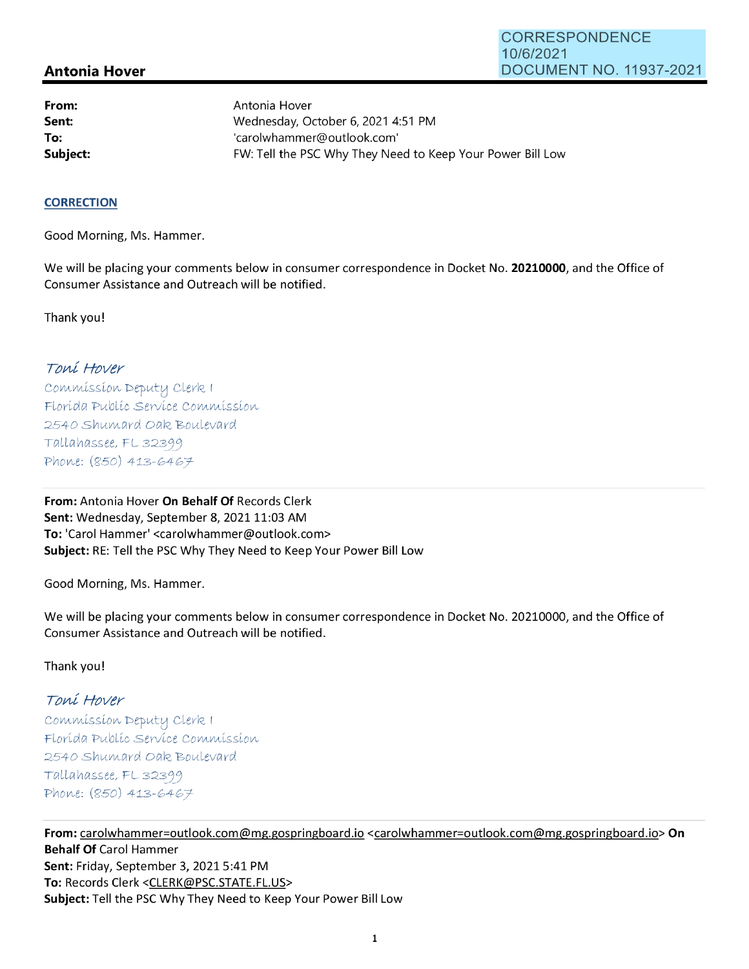# **Antonia Hover**

**From: Sent: To:** 

Antonia Hover Wednesday, October 6, 2021 4:51 PM 'carolwhammer@outlook.com' **Subject: EXALG:** FW: Tell the PSC Why They Need to Keep Your Power Bill Low

### **CORRECTION**

Good Morning, Ms. Hammer.

We will be placing your comments below in consumer correspondence in Docket No. **20210000,** and the Office of Consumer Assistance and Outreach will be notified.

Thank you!

## Toní Hover

Commission Deputy Clerk I Florída Publíc Service Commission 2540 Shumard Oak Boulevard  $Tallahasse, FL 32399$ Phone: (850) 413-6467

**From:** Antonia Hover **On Behalf Of** Records Clerk Sent: Wednesday, September 8, 2021 11:03 AM **To:** 'Carol Hammer' <carolwhammer@outlook.com> **Subject:** RE: Tell the PSC Why They Need to Keep Your Power Bill Low

Good Morning, Ms. Hammer.

We will be placing your comments below in consumer correspondence in Docket No. 20210000, and the Office of Consumer Assistance and Outreach will be notified.

### Thank you!

## Toní Hover

Commission Deputy Clerk I Florída Publíc Servíce Commission 2540 Shumard Oak Boulevard  $Tallahassee, FL 32399$ Phone: (850) 413-6467

**From:** carolwhammer=outlook.com@mg.gospringboard.io <carolwhammer=outlook.com@mg.gospringboard.io> **On Behalf Of** Carol Hammer **Sent:** Friday, September 3, 2021 5:41 PM **To:** Records Clerk <CLERK@PSC.STATE.FL.US> **Subject:** Tell the PSC Why They Need to Keep Your Power Bill Low